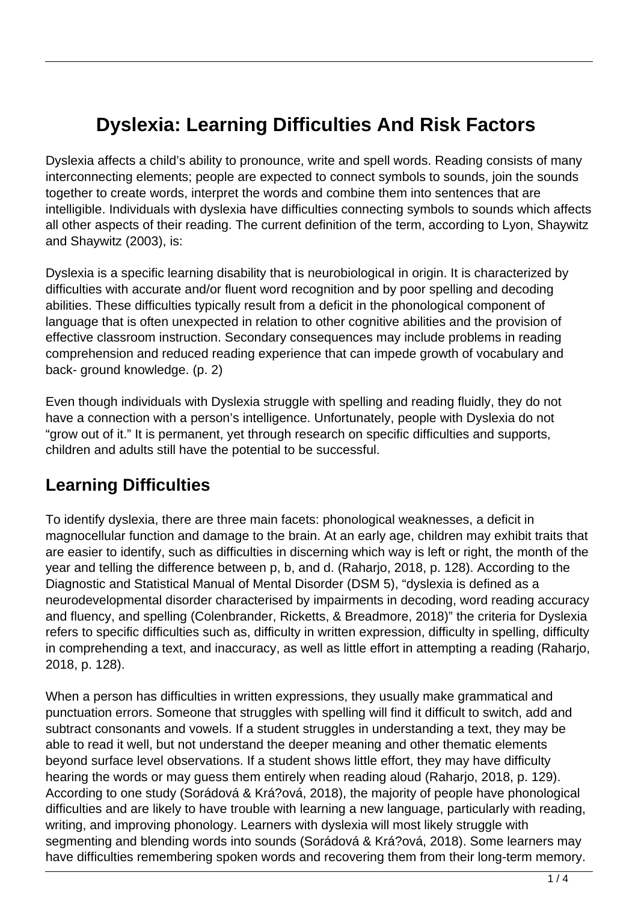# **Dyslexia: Learning Difficulties And Risk Factors**

Dyslexia affects a child's ability to pronounce, write and spell words. Reading consists of many interconnecting elements; people are expected to connect symbols to sounds, join the sounds together to create words, interpret the words and combine them into sentences that are intelligible. Individuals with dyslexia have difficulties connecting symbols to sounds which affects all other aspects of their reading. The current definition of the term, according to Lyon, Shaywitz and Shaywitz (2003), is:

Dyslexia is a specific learning disability that is neurobiologicaI in origin. It is characterized by difficulties with accurate and/or fluent word recognition and by poor spelling and decoding abilities. These difficulties typically result from a deficit in the phonological component of language that is often unexpected in relation to other cognitive abilities and the provision of effective classroom instruction. Secondary consequences may include problems in reading comprehension and reduced reading experience that can impede growth of vocabulary and back- ground knowledge. (p. 2)

Even though individuals with Dyslexia struggle with spelling and reading fluidly, they do not have a connection with a person's intelligence. Unfortunately, people with Dyslexia do not "grow out of it." It is permanent, yet through research on specific difficulties and supports, children and adults still have the potential to be successful.

## **Learning Difficulties**

To identify dyslexia, there are three main facets: phonological weaknesses, a deficit in magnocellular function and damage to the brain. At an early age, children may exhibit traits that are easier to identify, such as difficulties in discerning which way is left or right, the month of the year and telling the difference between p, b, and d. (Raharjo, 2018, p. 128). According to the Diagnostic and Statistical Manual of Mental Disorder (DSM 5), "dyslexia is defined as a neurodevelopmental disorder characterised by impairments in decoding, word reading accuracy and fluency, and spelling (Colenbrander, Ricketts, & Breadmore, 2018)" the criteria for Dyslexia refers to specific difficulties such as, difficulty in written expression, difficulty in spelling, difficulty in comprehending a text, and inaccuracy, as well as little effort in attempting a reading (Raharjo, 2018, p. 128).

When a person has difficulties in written expressions, they usually make grammatical and punctuation errors. Someone that struggles with spelling will find it difficult to switch, add and subtract consonants and vowels. If a student struggles in understanding a text, they may be able to read it well, but not understand the deeper meaning and other thematic elements beyond surface level observations. If a student shows little effort, they may have difficulty hearing the words or may guess them entirely when reading aloud (Raharjo, 2018, p. 129). According to one study (Sorádová & Krá?ová, 2018), the majority of people have phonological difficulties and are likely to have trouble with learning a new language, particularly with reading, writing, and improving phonology. Learners with dyslexia will most likely struggle with segmenting and blending words into sounds (Sorádová & Krá?ová, 2018). Some learners may have difficulties remembering spoken words and recovering them from their long-term memory.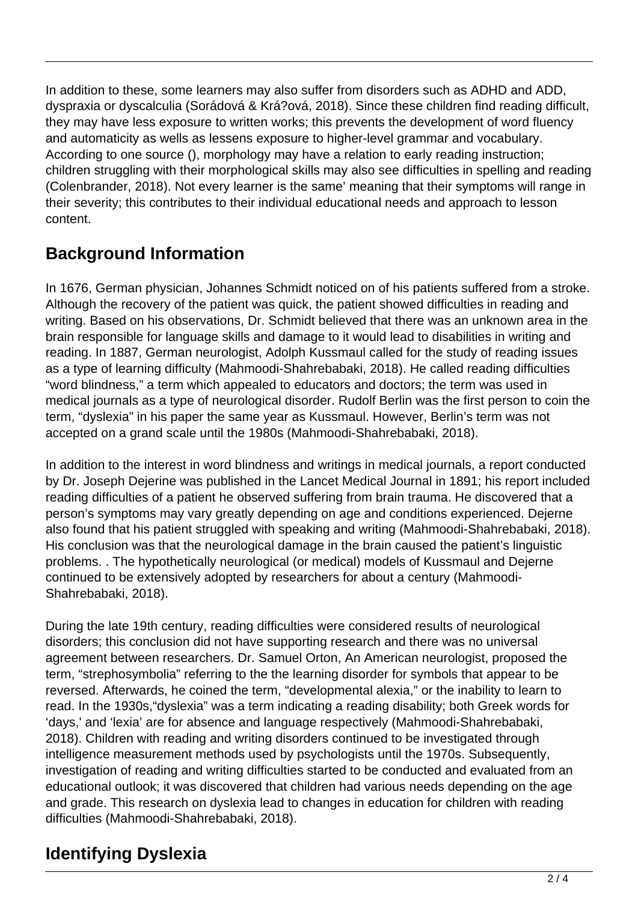In addition to these, some learners may also suffer from disorders such as ADHD and ADD, dyspraxia or dyscalculia (Sorádová & Krá?ová, 2018). Since these children find reading difficult, they may have less exposure to written works; this prevents the development of word fluency and automaticity as wells as lessens exposure to higher-level grammar and vocabulary. According to one source (), morphology may have a relation to early reading instruction; children struggling with their morphological skills may also see difficulties in spelling and reading (Colenbrander, 2018). Not every learner is the same' meaning that their symptoms will range in their severity; this contributes to their individual educational needs and approach to lesson content.

## **Background Information**

In 1676, German physician, Johannes Schmidt noticed on of his patients suffered from a stroke. Although the recovery of the patient was quick, the patient showed difficulties in reading and writing. Based on his observations, Dr. Schmidt believed that there was an unknown area in the brain responsible for language skills and damage to it would lead to disabilities in writing and reading. In 1887, German neurologist, Adolph Kussmaul called for the study of reading issues as a type of learning difficulty (Mahmoodi-Shahrebabaki, 2018). He called reading difficulties "word blindness," a term which appealed to educators and doctors; the term was used in medical journals as a type of neurological disorder. Rudolf Berlin was the first person to coin the term, "dyslexia" in his paper the same year as Kussmaul. However, Berlin's term was not accepted on a grand scale until the 1980s (Mahmoodi-Shahrebabaki, 2018).

In addition to the interest in word blindness and writings in medical journals, a report conducted by Dr. Joseph Dejerine was published in the Lancet Medical Journal in 1891; his report included reading difficulties of a patient he observed suffering from brain trauma. He discovered that a person's symptoms may vary greatly depending on age and conditions experienced. Dejerne also found that his patient struggled with speaking and writing (Mahmoodi-Shahrebabaki, 2018). His conclusion was that the neurological damage in the brain caused the patient's linguistic problems. . The hypothetically neurological (or medical) models of Kussmaul and Dejerne continued to be extensively adopted by researchers for about a century (Mahmoodi-Shahrebabaki, 2018).

During the late 19th century, reading difficulties were considered results of neurological disorders; this conclusion did not have supporting research and there was no universal agreement between researchers. Dr. Samuel Orton, An American neurologist, proposed the term, "strephosymbolia" referring to the the learning disorder for symbols that appear to be reversed. Afterwards, he coined the term, "developmental alexia," or the inability to learn to read. In the 1930s,"dyslexia" was a term indicating a reading disability; both Greek words for 'days,' and 'lexia' are for absence and language respectively (Mahmoodi-Shahrebabaki, 2018). Children with reading and writing disorders continued to be investigated through intelligence measurement methods used by psychologists until the 1970s. Subsequently, investigation of reading and writing difficulties started to be conducted and evaluated from an educational outlook; it was discovered that children had various needs depending on the age and grade. This research on dyslexia lead to changes in education for children with reading difficulties (Mahmoodi-Shahrebabaki, 2018).

## **Identifying Dyslexia**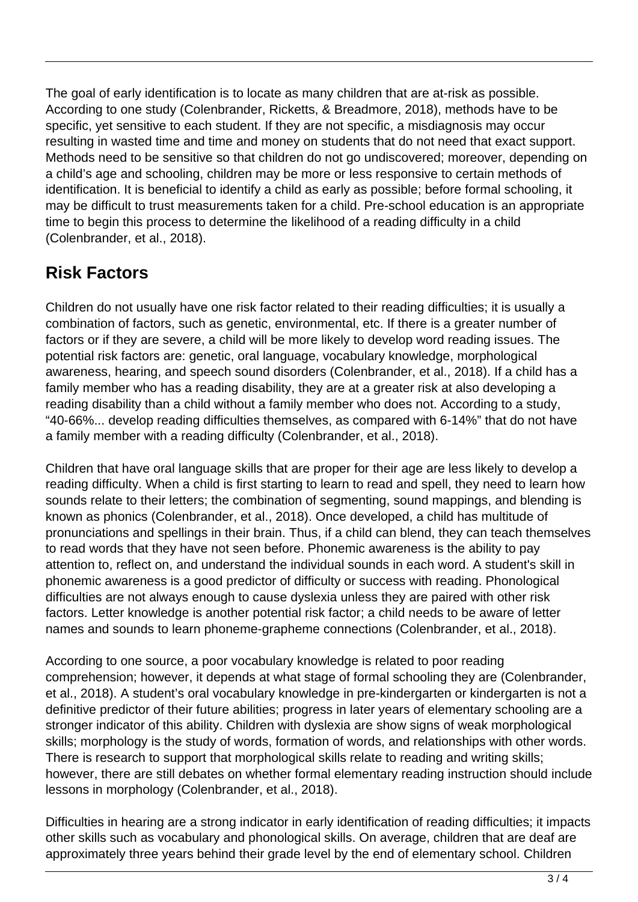The goal of early identification is to locate as many children that are at-risk as possible. According to one study (Colenbrander, Ricketts, & Breadmore, 2018), methods have to be specific, yet sensitive to each student. If they are not specific, a misdiagnosis may occur resulting in wasted time and time and money on students that do not need that exact support. Methods need to be sensitive so that children do not go undiscovered; moreover, depending on a child's age and schooling, children may be more or less responsive to certain methods of identification. It is beneficial to identify a child as early as possible; before formal schooling, it may be difficult to trust measurements taken for a child. Pre-school education is an appropriate time to begin this process to determine the likelihood of a reading difficulty in a child (Colenbrander, et al., 2018).

### **Risk Factors**

Children do not usually have one risk factor related to their reading difficulties; it is usually a combination of factors, such as genetic, environmental, etc. If there is a greater number of factors or if they are severe, a child will be more likely to develop word reading issues. The potential risk factors are: genetic, oral language, vocabulary knowledge, morphological awareness, hearing, and speech sound disorders (Colenbrander, et al., 2018). If a child has a family member who has a reading disability, they are at a greater risk at also developing a reading disability than a child without a family member who does not. According to a study, "40-66%... develop reading difficulties themselves, as compared with 6-14%" that do not have a family member with a reading difficulty (Colenbrander, et al., 2018).

Children that have oral language skills that are proper for their age are less likely to develop a reading difficulty. When a child is first starting to learn to read and spell, they need to learn how sounds relate to their letters; the combination of segmenting, sound mappings, and blending is known as phonics (Colenbrander, et al., 2018). Once developed, a child has multitude of pronunciations and spellings in their brain. Thus, if a child can blend, they can teach themselves to read words that they have not seen before. Phonemic awareness is the ability to pay attention to, reflect on, and understand the individual sounds in each word. A student's skill in phonemic awareness is a good predictor of difficulty or success with reading. Phonological difficulties are not always enough to cause dyslexia unless they are paired with other risk factors. Letter knowledge is another potential risk factor; a child needs to be aware of letter names and sounds to learn phoneme-grapheme connections (Colenbrander, et al., 2018).

According to one source, a poor vocabulary knowledge is related to poor reading comprehension; however, it depends at what stage of formal schooling they are (Colenbrander, et al., 2018). A student's oral vocabulary knowledge in pre-kindergarten or kindergarten is not a definitive predictor of their future abilities; progress in later years of elementary schooling are a stronger indicator of this ability. Children with dyslexia are show signs of weak morphological skills; morphology is the study of words, formation of words, and relationships with other words. There is research to support that morphological skills relate to reading and writing skills; however, there are still debates on whether formal elementary reading instruction should include lessons in morphology (Colenbrander, et al., 2018).

Difficulties in hearing are a strong indicator in early identification of reading difficulties; it impacts other skills such as vocabulary and phonological skills. On average, children that are deaf are approximately three years behind their grade level by the end of elementary school. Children